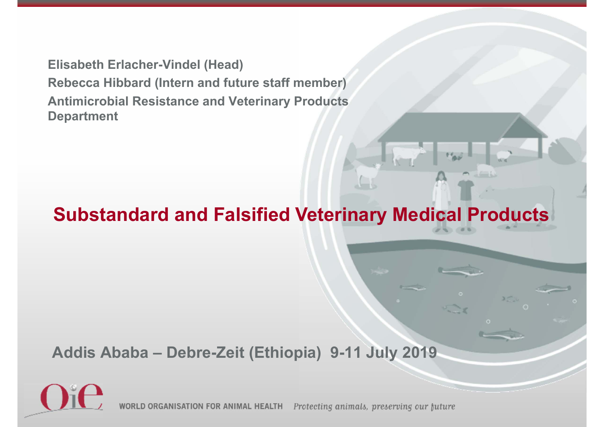**Elisabeth Erlacher-Vindel (Head) Rebecca Hibbard (Intern and future staff member) Antimicrobial Resistance and Veterinary Products Department** 

#### **Substandard and Falsified Veterinary Medical Products**

**Addis Ababa – Debre-Zeit (Ethiopia) 9-11 July 2019**



WORLD ORGANISATION FOR ANIMAL HEALTH Protecting animals, preserving our future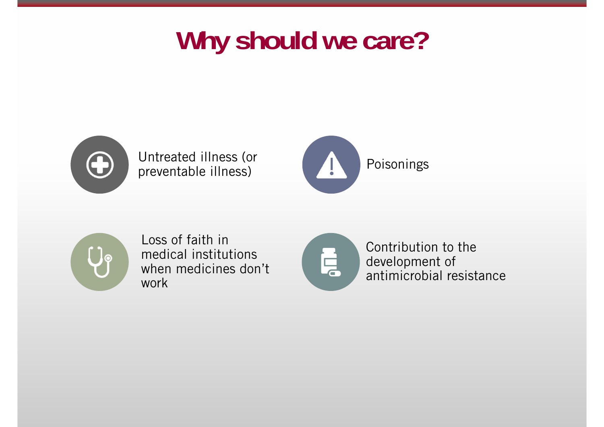## **Why should we care?**



Untreated illness (or





Loss of faith in medical institutions when medicines don't work



Contribution to the development of antimicrobial resistance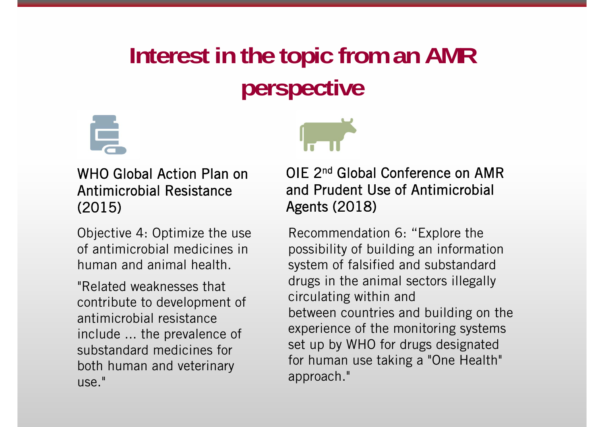### **Interest in the topic from an AMR perspective**





WHO Global Action Plan on Antimicrobial Resistance (2015)

Objective 4: Optimize the use of antimicrobial medicines in human and animal health.

"Related weaknesses that contribute to development of antimicrobial resistance include ... the prevalence of substandard medicines for both human and veterinary use."

OIE 2nd Global Conference on AMR and Prudent Use of Antimicrobial Agents (2018)

Recommendation 6: "Explore the possibility of building an information system of falsified and substandard drugs in the animal sectors illegally circulating within and between countries and building on the experience of the monitoring systems set up by WHO for drugs designated for human use taking a "One Health" approach."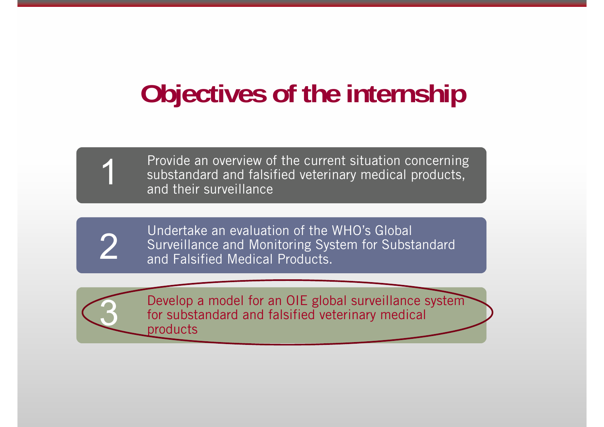# **Objectives of the internship**

Provide an overview of the current situation concerning substandard and falsified veterinary medical products, and their surveillance



1

Undertake an evaluation of the WHO's Global Surveillance and Monitoring System for Substandard and Falsified Medical Products.



Develop a model for an OIE global surveillance system for substandard and falsified veterinary medical products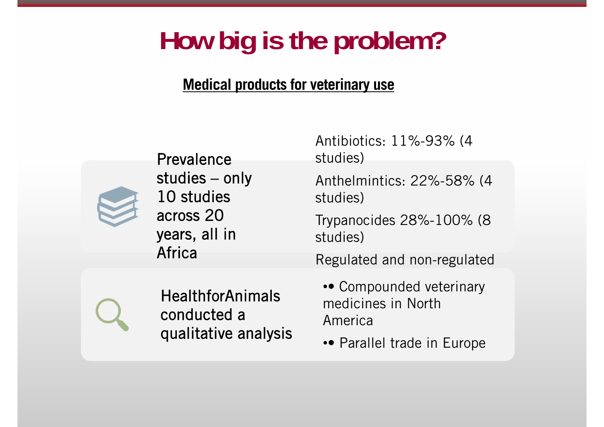## **How big is the problem?**

#### **Medical products for veterinary use**



Prevalence studies – only 10 studies across 20 years, all in Africa

Antibiotics: 11%-93% (4 studies)

Anthelmintics: 22%-58% (4 studies)

Trypanocides 28%-100% (8 studies)

Regulated and non-regulated



**HealthforAnimals** conducted a qualitative analysis

- Compounded veterinary medicines in North America
- •• Parallel trade in Europe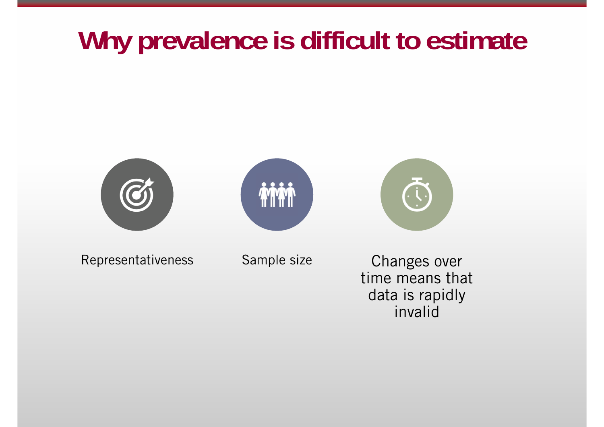## **Why prevalence is difficult to estimate**



Representativeness Sample size Changes over

time means that data is rapidly invalid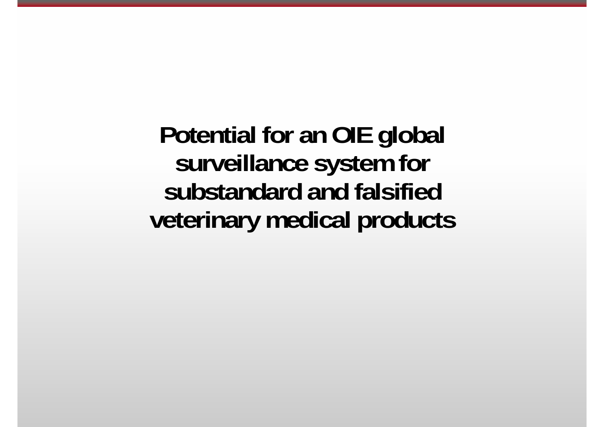**Potential for an OIE global surveillance system for substandard and falsified veterinary medical products**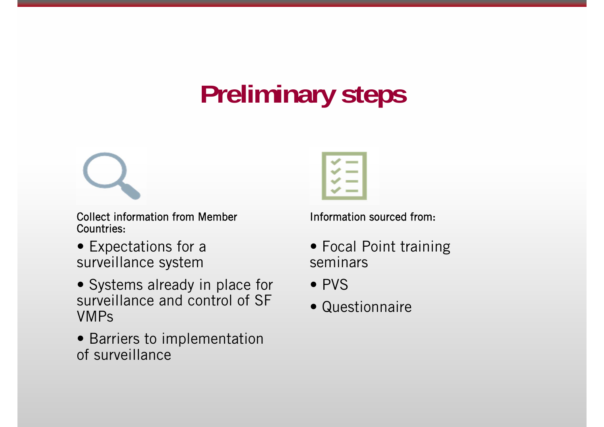# **Preliminary steps**

Collect information from Member Countries:

- Expectations for a surveillance system
- Systems already in place for surveillance and control of SF VMPs
- Barriers to implementation of surveillance



Information sourced from:

- Focal Point training seminars
- PVS
- Questionnaire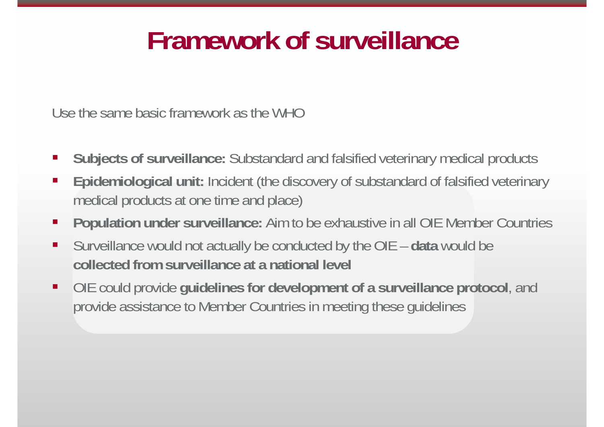## **Framework of surveillance**

Use the same basic framework as the WHO

- $\mathcal{L}_{\mathcal{A}}$ **Subjects of surveillance:** Substandard and falsified veterinary medical products
- $\mathcal{L}_{\mathcal{A}}$  **Epidemiological unit:** Incident (the discovery of substandard of falsified veterinary medical products at one time and place)
- $\mathcal{L}_{\mathcal{A}}$ **Population under surveillance:** Aim to be exhaustive in all OIE Member Countries
- $\blacksquare$  Surveillance would not actually be conducted by the OIE – **data** would be **collected from surveillance at a national level**
- $\blacksquare$  OIE could provide **guidelines for development of a surveillance protocol**, and provide assistance to Member Countries in meeting these guidelines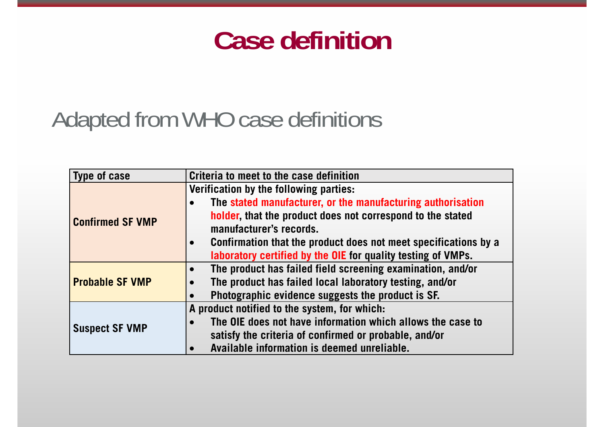### **Case definition**

#### Adapted from WHO case definitions

| Type of case            | Criteria to meet to the case definition                         |
|-------------------------|-----------------------------------------------------------------|
| <b>Confirmed SF VMP</b> | Verification by the following parties:                          |
|                         | The stated manufacturer, or the manufacturing authorisation     |
|                         | holder, that the product does not correspond to the stated      |
|                         | manufacturer's records.                                         |
|                         | Confirmation that the product does not meet specifications by a |
|                         | laboratory certified by the OIE for quality testing of VMPs.    |
| <b>Probable SF VMP</b>  | The product has failed field screening examination, and/or      |
|                         | The product has failed local laboratory testing, and/or         |
|                         | Photographic evidence suggests the product is SF.               |
| <b>Suspect SF VMP</b>   | A product notified to the system, for which:                    |
|                         | The OIE does not have information which allows the case to      |
|                         | satisfy the criteria of confirmed or probable, and/or           |
|                         | Available information is deemed unreliable.                     |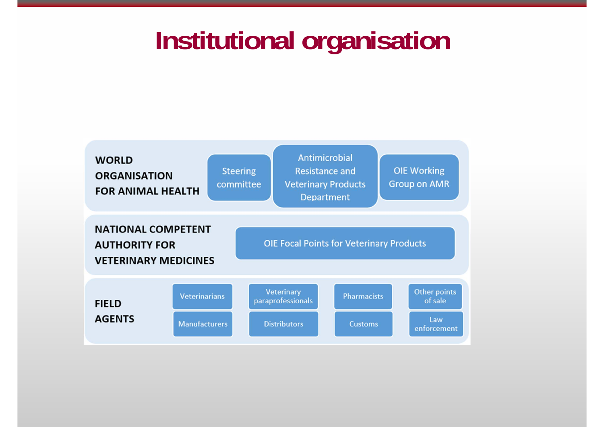### **Institutional organisation**

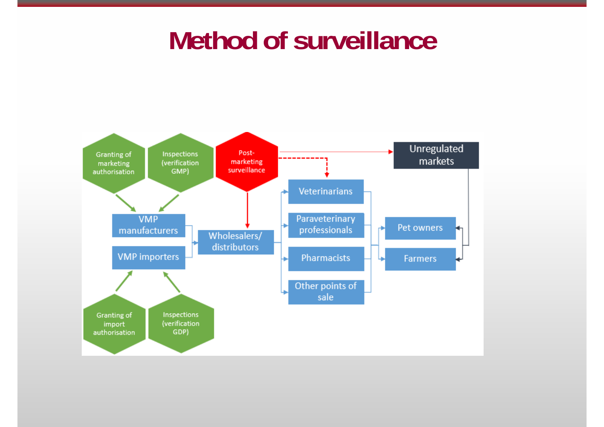#### **Method of surveillance**

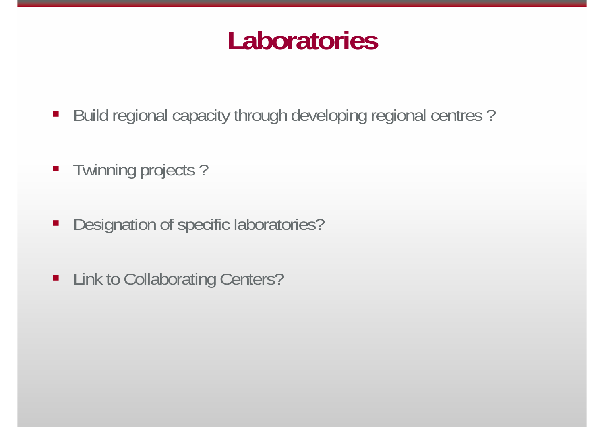#### **Laboratories**

- Build regional capacity through developing regional centres ?
- Twinning projects?
- Designation of specific laboratories?
- $\blacksquare$ Link to Collaborating Centers?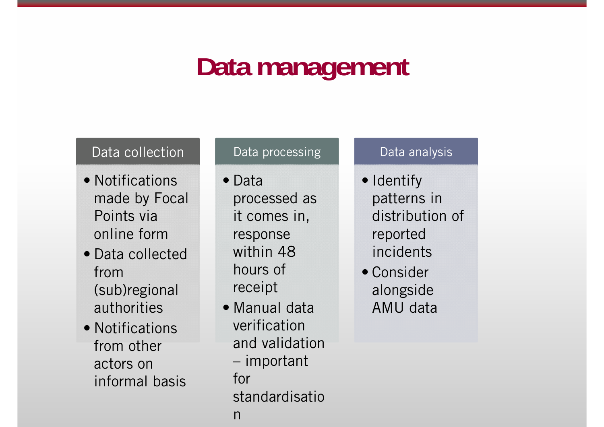## **Data management**

#### Data collection

- Notifications made by Focal Points via online form
- Data collected from (sub)regional authorities
- Notifications from other actors on informal basis

#### Data processing

- Data processed as it comes in, response within 48 hours of receipt
- Manual data verification and validation important for standardisatio n

#### Data analysis

- Identify patterns in distribution of reported incidents
- Consider alongside AMU data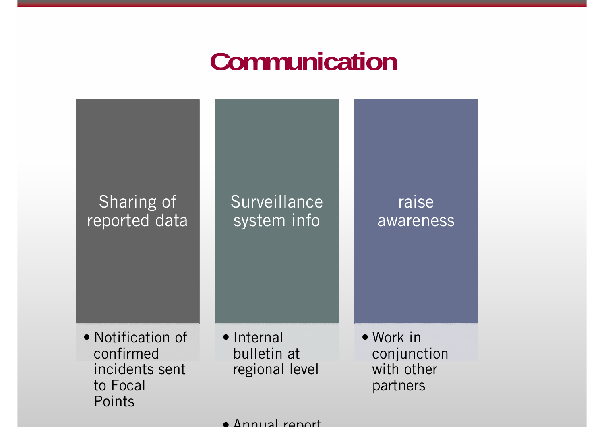### **Communication**



• Annual report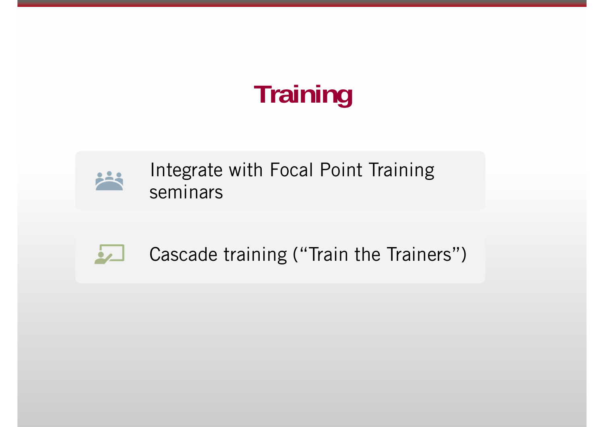# **Training**



Integrate with Focal Point Training seminars



Cascade training ("Train the Trainers")